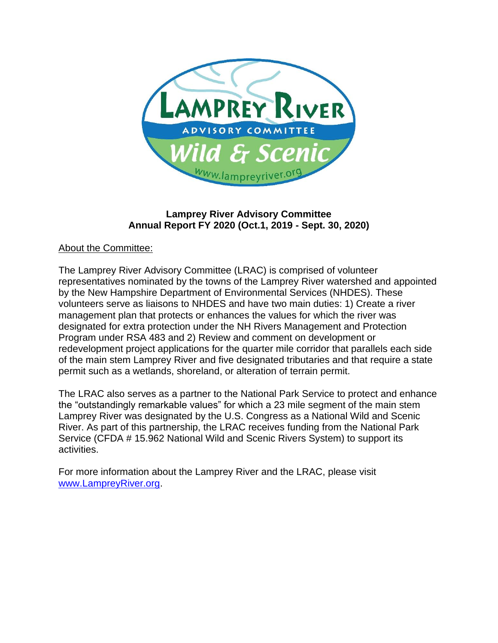

## **Lamprey River Advisory Committee Annual Report FY 2020 (Oct.1, 2019 - Sept. 30, 2020)**

#### About the Committee:

The Lamprey River Advisory Committee (LRAC) is comprised of volunteer representatives nominated by the towns of the Lamprey River watershed and appointed by the New Hampshire Department of Environmental Services (NHDES). These volunteers serve as liaisons to NHDES and have two main duties: 1) Create a river management plan that protects or enhances the values for which the river was designated for extra protection under the NH Rivers Management and Protection Program under RSA 483 and 2) Review and comment on development or redevelopment project applications for the quarter mile corridor that parallels each side of the main stem Lamprey River and five designated tributaries and that require a state permit such as a wetlands, shoreland, or alteration of terrain permit.

The LRAC also serves as a partner to the National Park Service to protect and enhance the "outstandingly remarkable values" for which a 23 mile segment of the main stem Lamprey River was designated by the U.S. Congress as a National Wild and Scenic River. As part of this partnership, the LRAC receives funding from the National Park Service (CFDA # 15.962 National Wild and Scenic Rivers System) to support its activities.

For more information about the Lamprey River and the LRAC, please visit [www.LampreyRiver.org.](http://www.lampreyriver.org/)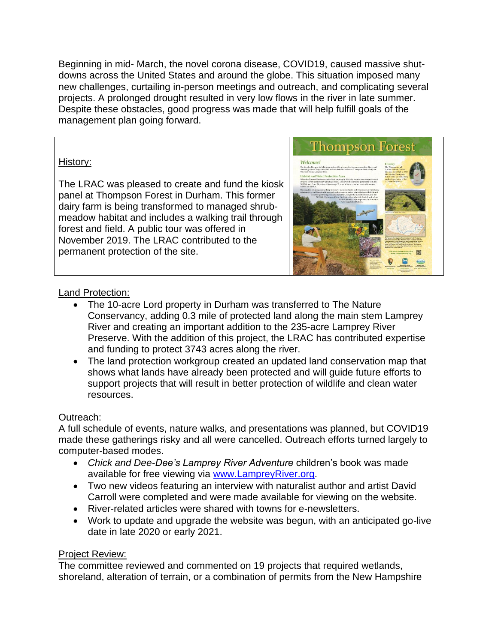Beginning in mid- March, the novel corona disease, COVID19, caused massive shutdowns across the United States and around the globe. This situation imposed many new challenges, curtailing in-person meetings and outreach, and complicating several projects. A prolonged drought resulted in very low flows in the river in late summer. Despite these obstacles, good progress was made that will help fulfill goals of the management plan going forward.

## History:

The LRAC was pleased to create and fund the kiosk panel at Thompson Forest in Durham. This former dairy farm is being transformed to managed shrubmeadow habitat and includes a walking trail through forest and field. A public tour was offered in November 2019. The LRAC contributed to the permanent protection of the site.



## Land Protection:

- The 10-acre Lord property in Durham was transferred to The Nature Conservancy, adding 0.3 mile of protected land along the main stem Lamprey River and creating an important addition to the 235-acre Lamprey River Preserve. With the addition of this project, the LRAC has contributed expertise and funding to protect 3743 acres along the river.
- The land protection workgroup created an updated land conservation map that shows what lands have already been protected and will guide future efforts to support projects that will result in better protection of wildlife and clean water resources.

## Outreach:

A full schedule of events, nature walks, and presentations was planned, but COVID19 made these gatherings risky and all were cancelled. Outreach efforts turned largely to computer-based modes.

- *Chick and Dee-Dee's Lamprey River Adventure* children's book was made available for free viewing via [www.LampreyRiver.org.](http://www.lampreyriver.org/)
- Two new videos featuring an interview with naturalist author and artist David Carroll were completed and were made available for viewing on the website.
- River-related articles were shared with towns for e-newsletters.
- Work to update and upgrade the website was begun, with an anticipated go-live date in late 2020 or early 2021.

## Project Review:

The committee reviewed and commented on 19 projects that required wetlands, shoreland, alteration of terrain, or a combination of permits from the New Hampshire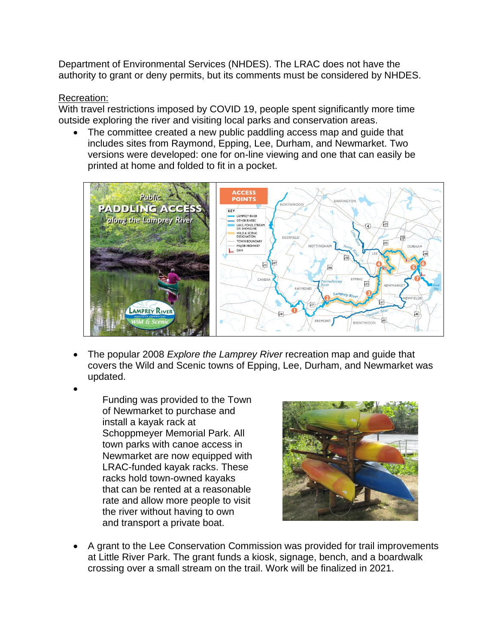Department of Environmental Services (NHDES). The LRAC does not have the authority to grant or deny permits, but its comments must be considered by NHDES.

#### Recreation:

With travel restrictions imposed by COVID 19, people spent significantly more time outside exploring the river and visiting local parks and conservation areas.

The committee created a new public paddling access map and guide that includes sites from Raymond, Epping, Lee, Durham, and Newmarket. Two versions were developed: one for on-line viewing and one that can easily be printed at home and folded to fit in a pocket.



- The popular 2008 *Explore the Lamprey River* recreation map and guide that covers the Wild and Scenic towns of Epping, Lee, Durham, and Newmarket was updated.
- •

Funding was provided to the Town of Newmarket to purchase and install a kayak rack at Schoppmeyer Memorial Park. All town parks with canoe access in Newmarket are now equipped with LRAC-funded kayak racks. These racks hold town-owned kayaks that can be rented at a reasonable rate and allow more people to visit the river without having to own and transport a private boat.



• A grant to the Lee Conservation Commission was provided for trail improvements at Little River Park. The grant funds a kiosk, signage, bench, and a boardwalk crossing over a small stream on the trail. Work will be finalized in 2021.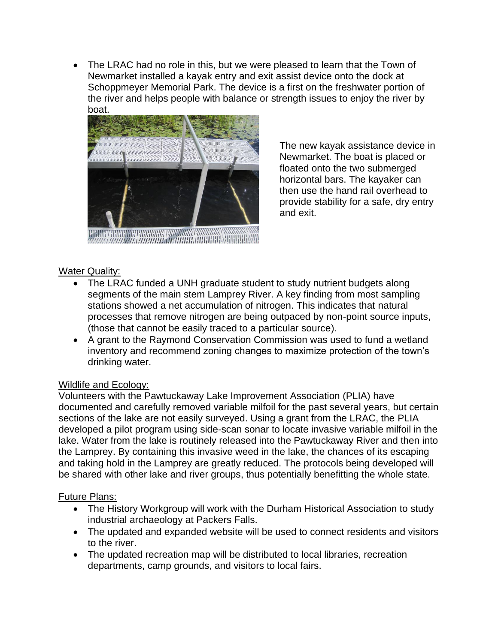• The LRAC had no role in this, but we were pleased to learn that the Town of Newmarket installed a kayak entry and exit assist device onto the dock at Schoppmeyer Memorial Park. The device is a first on the freshwater portion of the river and helps people with balance or strength issues to enjoy the river by boat.



The new kayak assistance device in Newmarket. The boat is placed or floated onto the two submerged horizontal bars. The kayaker can then use the hand rail overhead to provide stability for a safe, dry entry and exit.

# Water Quality:

- The LRAC funded a UNH graduate student to study nutrient budgets along segments of the main stem Lamprey River. A key finding from most sampling stations showed a net accumulation of nitrogen. This indicates that natural processes that remove nitrogen are being outpaced by non-point source inputs, (those that cannot be easily traced to a particular source).
- A grant to the Raymond Conservation Commission was used to fund a wetland inventory and recommend zoning changes to maximize protection of the town's drinking water.

## Wildlife and Ecology:

Volunteers with the Pawtuckaway Lake Improvement Association (PLIA) have documented and carefully removed variable milfoil for the past several years, but certain sections of the lake are not easily surveyed. Using a grant from the LRAC, the PLIA developed a pilot program using side-scan sonar to locate invasive variable milfoil in the lake. Water from the lake is routinely released into the Pawtuckaway River and then into the Lamprey. By containing this invasive weed in the lake, the chances of its escaping and taking hold in the Lamprey are greatly reduced. The protocols being developed will be shared with other lake and river groups, thus potentially benefitting the whole state.

## Future Plans:

- The History Workgroup will work with the Durham Historical Association to study industrial archaeology at Packers Falls.
- The updated and expanded website will be used to connect residents and visitors to the river.
- The updated recreation map will be distributed to local libraries, recreation departments, camp grounds, and visitors to local fairs.